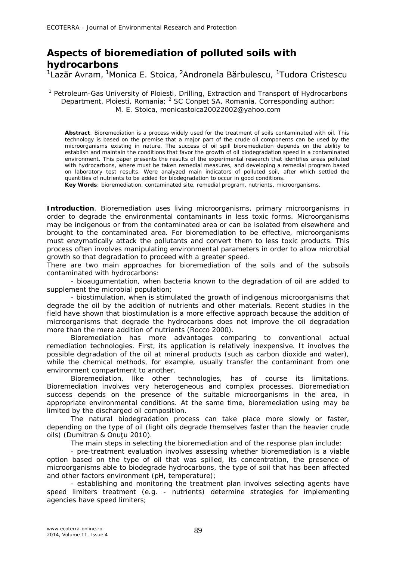## **Aspects of bioremediation of polluted soils with hydrocarbons**

<sup>1</sup>Lazăr Avram, <sup>1</sup>Monica E. Stoica, <sup>2</sup>Andronela Bărbulescu, <sup>1</sup>Tudora Cristescu

## <sup>1</sup> Petroleum-Gas University of Ploiesti, Drilling, Extraction and Transport of Hydrocarbons Department, Ploiesti, Romania;  $<sup>2</sup>$  SC Conpet SA, Romania. Corresponding author:</sup> M. E. Stoica, monicastoica20022002@yahoo.com

**Abstract**. Bioremediation is a process widely used for the treatment of soils contaminated with oil. This technology is based on the premise that a major part of the crude oil components can be used by the microorganisms existing in nature. The success of oil spill bioremediation depends on the ability to establish and maintain the conditions that favor the growth of oil biodegradation speed in a contaminated environment. This paper presents the results of the experimental research that identifies areas polluted with hydrocarbons, where must be taken remedial measures, and developing a remedial program based on laboratory test results. Were analyzed main indicators of polluted soil, after which settled the quantities of nutrients to be added for biodegradation to occur in good conditions.

**Key Words**: bioremediation, contaminated site, remedial program, nutrients, microorganisms.

**Introduction**. Bioremediation uses living microorganisms, primary microorganisms in order to degrade the environmental contaminants in less toxic forms. Microorganisms may be indigenous or from the contaminated area or can be isolated from elsewhere and brought to the contaminated area. For bioremediation to be effective, microorganisms must enzymatically attack the pollutants and convert them to less toxic products. This process often involves manipulating environmental parameters in order to allow microbial growth so that degradation to proceed with a greater speed.

There are two main approaches for bioremediation of the soils and of the subsoils contaminated with hydrocarbons:

- bioaugumentation, when bacteria known to the degradation of oil are added to supplement the microbial population;

- biostimulation, when is stimulated the growth of indigenous microorganisms that degrade the oil by the addition of nutrients and other materials. Recent studies in the field have shown that biostimulation is a more effective approach because the addition of microorganisms that degrade the hydrocarbons does not improve the oil degradation more than the mere addition of nutrients (Rocco 2000).

Bioremediation has more advantages comparing to conventional actual remediation technologies. First, its application is relatively inexpensive. It involves the possible degradation of the oil at mineral products (such as carbon dioxide and water), while the chemical methods, for example, usually transfer the contaminant from one environment compartment to another.

Bioremediation, like other technologies, has of course its limitations. Bioremediation involves very heterogeneous and complex processes. Bioremediation success depends on the presence of the suitable microorganisms in the area, in appropriate environmental conditions. At the same time, bioremediation using may be limited by the discharged oil composition.

The natural biodegradation process can take place more slowly or faster, depending on the type of oil (light oils degrade themselves faster than the heavier crude oils) (Dumitran & Onutu 2010).

The main steps in selecting the bioremediation and of the response plan include:

- pre-treatment evaluation involves assessing whether bioremediation is a viable option based on the type of oil that was spilled, its concentration, the presence of microorganisms able to biodegrade hydrocarbons, the type of soil that has been affected and other factors environment (pH, temperature);

- establishing and monitoring the treatment plan involves selecting agents have speed limiters treatment (e.g. - nutrients) determine strategies for implementing agencies have speed limiters;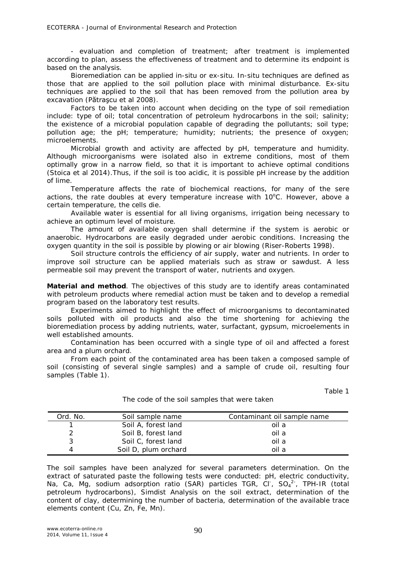- evaluation and completion of treatment; after treatment is implemented according to plan, assess the effectiveness of treatment and to determine its endpoint is based on the analysis.

Bioremediation can be applied in-situ or ex-situ. In-situ techniques are defined as those that are applied to the soil pollution place with minimal disturbance. Ex-situ techniques are applied to the soil that has been removed from the pollution area by excavation (Pătraşcu et al 2008).

Factors to be taken into account when deciding on the type of soil remediation include: type of oil; total concentration of petroleum hydrocarbons in the soil; salinity; the existence of a microbial population capable of degrading the pollutants; soil type; pollution age; the pH; temperature; humidity; nutrients; the presence of oxygen; microelements.

Microbial growth and activity are affected by pH, temperature and humidity. Although microorganisms were isolated also in extreme conditions, most of them optimally grow in a narrow field, so that it is important to achieve optimal conditions (Stoica et al 2014).Thus, if the soil is too acidic, it is possible pH increase by the addition of lime.

Temperature affects the rate of biochemical reactions, for many of the sere actions, the rate doubles at every temperature increase with  $10^{\circ}$ C. However, above a certain temperature, the cells die.

Available water is essential for all living organisms, irrigation being necessary to achieve an optimum level of moisture.

The amount of available oxygen shall determine if the system is aerobic or anaerobic. Hydrocarbons are easily degraded under aerobic conditions. Increasing the oxygen quantity in the soil is possible by plowing or air blowing (Riser-Roberts 1998).

Soil structure controls the efficiency of air supply, water and nutrients. In order to improve soil structure can be applied materials such as straw or sawdust. A less permeable soil may prevent the transport of water, nutrients and oxygen.

**Material and method**. The objectives of this study are to identify areas contaminated with petroleum products where remedial action must be taken and to develop a remedial program based on the laboratory test results.

Experiments aimed to highlight the effect of microorganisms to decontaminated soils polluted with oil products and also the time shortening for achieving the bioremediation process by adding nutrients, water, surfactant, gypsum, microelements in well established amounts.

Contamination has been occurred with a single type of oil and affected a forest area and a plum orchard.

From each point of the contaminated area has been taken a composed sample of soil (consisting of several single samples) and a sample of crude oil, resulting four samples (Table 1).

Table 1

| Ord. No. | Soil sample name     | Contaminant oil sample name |
|----------|----------------------|-----------------------------|
|          | Soil A, forest land  | oil a                       |
|          | Soil B, forest land  | oil a                       |
|          | Soil C, forest land  | oil a                       |
|          | Soil D, plum orchard | oil a                       |

The code of the soil samples that were taken

The soil samples have been analyzed for several parameters determination. On the extract of saturated paste the following tests were conducted: pH, electric conductivity, Na, Ca, Mg, sodium adsorption ratio (SAR) particles TGR, CI,  $SO_4^2$ , TPH-IR (total petroleum hydrocarbons), Simdist Analysis on the soil extract, determination of the content of clay, determining the number of bacteria, determination of the available trace elements content (Cu, Zn, Fe, Mn).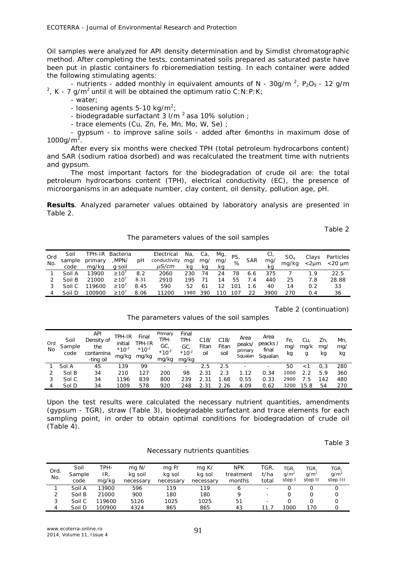Oil samples were analyzed for API density determination and by Simdist chromatographic method. After completing the tests, contaminated soils prepared as saturated paste have been put in plastic containers fo rbioremediation testing. In each container were added the following stimulating agents:

- nutrients - added monthly in equivalent amounts of N -  $30g/m^2$ , P<sub>2</sub>O<sub>5</sub> - 12 g/m <sup>2</sup>, K - 7 g/m<sup>2</sup> until it will be obtained the optimum ratio C:N:P:K;

- water;

- loosening agents 5-10 kg/m<sup>2</sup>;

- biodegradable surfactant 3 l/m<sup>2</sup> asa 10% solution ;

- trace elements (Cu, Zn, Fe, Mn, Mo, W, Se) ;

- gypsum - to improve saline soils - added after 6months in maximum dose of  $1000 g/m<sup>2</sup>$ .

After every six months were checked TPH (total petroleum hydrocarbons content) and SAR (sodium ratioa dsorbed) and was recalculated the treatment time with nutrients and gypsum.

The most important factors for the biodegradation of crude oil are: the total petroleum hydrocarbons content (TPH), electrical conductivity (EC), the presence of microorganisms in an adequate number, clay content, oil density, pollution age, pH.

**Results**. Analyzed parameter values obtained by laboratory analysis are presented in Table 2.

Table 2

The parameters values of the soil samples

| Ord<br>No. | Soil<br>sample<br>code | primary<br>mq/kg | TPH-IR Bacteria<br>,MPN/<br>a soil | D <sup>H</sup> | Electrical<br>conductivity<br>$\mu$ S/cm | Na,<br>mg/<br>kα | Ca,<br>mq<br>κa | Mg,<br>mg/<br>ka | PS,<br>% | <b>SAR</b> | CI,<br>mg/<br>KО | SO <sub>4</sub><br>mg/kg | Clays<br>$<$ 2 $\mu$ m | Particles<br>$<$ 20 $\mu$ m |
|------------|------------------------|------------------|------------------------------------|----------------|------------------------------------------|------------------|-----------------|------------------|----------|------------|------------------|--------------------------|------------------------|-----------------------------|
|            | Soil A                 | 13900            | $\geq 10^7$                        | 8.2            | 2060                                     | 230              |                 |                  | 78       | 6.6        | 375              |                          |                        | 22.5                        |
|            | Soil B                 | 21000            | $>10^{7}$                          | 8.31           | 2910                                     | 195              |                 |                  | 55       |            | 440              | 25                       | 7.8                    | 28.88                       |
|            | Soil C                 | 119600           | $>10^{7}$                          | 8.45           | 590                                      | 52               |                 |                  |          | -6         | 40               | 14                       | 0.2                    | 33                          |
|            | Soil D                 | 100900           | $>10^{7}$                          | 8.06           | 1200                                     | 1980             | 39C             |                  | 107      | 22         | 390C             | 270                      | 0.4                    | 36                          |

Table 2 (continuation)

The parameters values of the soil samples

| Ord<br>Nο | Soil<br>Sample<br>code | API<br>Density of<br>the<br>contamina<br>-ting oil | TPH-IR<br>initial<br>$*10^{-2}$<br>mg/kg | Final<br>TPH-IR<br>$*10^{-2}$<br>mg/kg | Primary<br>TPH-<br>GC,<br>$*10^{2}$<br>mg/kg | Final<br>TPH-<br>GC,<br>$*10^{2}$<br>ma/ka | C18/<br>Fitan<br>oil | C18/<br>Fitan<br>soil | Area<br>peaks/<br>primary<br>Squalan | Area<br>peacks /<br>final<br>Squalan | Fe,<br>mg/<br>кg | Ċи<br>mg/k<br>g | Zn.<br>mg/<br>кg | Mn,<br>mg/<br>кg |
|-----------|------------------------|----------------------------------------------------|------------------------------------------|----------------------------------------|----------------------------------------------|--------------------------------------------|----------------------|-----------------------|--------------------------------------|--------------------------------------|------------------|-----------------|------------------|------------------|
|           | Sol A                  | 45                                                 | 139                                      | 99                                     |                                              |                                            | 2.5                  | 2.5                   |                                      |                                      | 50               |                 | 0.3              | 280              |
|           | Sol B                  | 34                                                 | 210                                      | 127                                    | 200                                          | 98                                         | 2.31                 | 2.3                   | .12                                  | 0.34                                 | 000              |                 | 5.9              | 360              |
|           | Sol C                  | 34                                                 | 1196                                     | 839                                    | 800                                          | 239                                        |                      | .68                   | 0.55                                 | 0.33                                 | 2900             | 7.5             | 42               | 480              |
|           | Sol D                  | 34                                                 | 1009                                     | 578                                    | 920                                          | 248                                        |                      | .26                   | 4.09                                 | 0.62                                 | 3200             | 15.8            | 54               | 270              |

Upon the test results were calculated the necessary nutrient quantities, amendments (gypsum - TGR), straw (Table 3), biodegradable surfactant and trace elements for each sampling point, in order to obtain optimal conditions for biodegradation of crude oil (Table 4).

Table 3

| Necessary nutrients quantities |  |
|--------------------------------|--|
|                                |  |

| Ord.<br>No. | Soil<br>Sample<br>code | TPH-<br>IR,<br>mg/kg | $mq$ N/<br>ka soil<br>necessary | $mq$ P/<br>ka sol<br>necessary | $mq$ K/<br>ka sol<br>necessarv | <b>NPK</b><br>treatment<br>months | TGR.<br>t/ha<br>total    | TGR<br>$q/m^2$<br>step I | TGR.<br>$a/m^2$<br>step II | TGR.<br>$q/m^2$<br>step III |
|-------------|------------------------|----------------------|---------------------------------|--------------------------------|--------------------------------|-----------------------------------|--------------------------|--------------------------|----------------------------|-----------------------------|
|             | Soil A                 | 13900                | 596                             | 119                            | 119                            | 6                                 | $\overline{\phantom{a}}$ |                          |                            |                             |
| 2           | Soil B                 | 21000                | 900                             | 180                            | 180                            |                                   | $\overline{\phantom{a}}$ |                          |                            | 0                           |
| 3           | Soil C                 | 119600               | 5126                            | 1025                           | 1025                           | 51                                | $\overline{\phantom{a}}$ |                          |                            | Ω                           |
| 4           | Soil D                 | 100900               | 4324                            | 865                            | 865                            | 43                                | 11.7                     | 1000                     | 170                        |                             |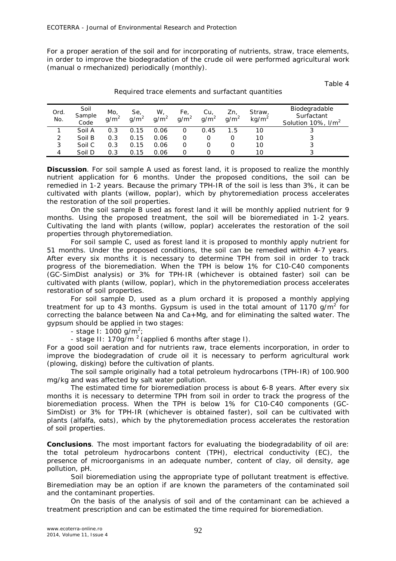For a proper aeration of the soil and for incorporating of nutrients, straw, trace elements, in order to improve the biodegradation of the crude oil were performed agricultural work (manual o rmechanized) periodically (monthly).

Table 4

| Ord.<br>No. | Soil<br>Sample<br>Code | Mo,<br>$g/m^2$ | Se,<br>$g/m^2$ | W,<br>$q/m^2$ | Fe,<br>$g/m^2$ | Сu,<br>$g/m^2$ | Zn,<br>$g/m^2$ | Straw.<br>kg/m <sup>2</sup> | Biodegradable<br>Surfactant<br>Solution $10\%$ , $1/m^2$ |
|-------------|------------------------|----------------|----------------|---------------|----------------|----------------|----------------|-----------------------------|----------------------------------------------------------|
|             | Soil A                 | 0.3            | 0.15           | 0.06          |                | 0.45           | 1.5            | 10                          |                                                          |
| 2           | Soil B                 | 0.3            | 0.15           | 0.06          |                |                |                | 10                          |                                                          |
| 3           | Soil C                 | 0.3            | 0.15           | 0.06          |                | Ο              |                | 10                          |                                                          |
| 4           | Soil D                 | 0.3            | 0.15           | 0.06          |                |                |                | 10                          |                                                          |

## Required trace elements and surfactant quantities

**Discussion**. For soil sample A used as forest land, it is proposed to realize the monthly nutrient application for 6 months. Under the proposed conditions, the soil can be remedied in 1-2 years. Because the primary TPH-IR of the soil is less than 3%, it can be cultivated with plants (willow, poplar), which by phytoremediation process accelerates the restoration of the soil properties.

On the soil sample B used as forest land it will be monthly applied nutrient for 9 months. Using the proposed treatment, the soil will be bioremediated in 1-2 years. Cultivating the land with plants (willow, poplar) accelerates the restoration of the soil properties through phytoremediation.

For soil sample C, used as forest land it is proposed to monthly apply nutrient for 51 months. Under the proposed conditions, the soil can be remedied within 4-7 years. After every six months it is necessary to determine TPH from soil in order to track progress of the bioremediation. When the TPH is below 1% for C10-C40 components (GC-SimDist analysis) or 3% for TPH-IR (whichever is obtained faster) soil can be cultivated with plants (willow, poplar), which in the phytoremediation process accelerates restoration of soil properties.

For soil sample D, used as a plum orchard it is proposed a monthly applying treatment for up to 43 months. Gypsum is used in the total amount of 1170 g/m<sup>2</sup> for correcting the balance between Na and Ca+Mg, and for eliminating the salted water. The gypsum should be applied in two stages:

- stage I: 1000 g/m<sup>2</sup>;

- stage II:  $170$ g/m<sup>2</sup> (applied 6 months after stage I).

For a good soil aeration and for nutrients raw, trace elements incorporation, in order to improve the biodegradation of crude oil it is necessary to perform agricultural work (plowing, disking) before the cultivation of plants.

The soil sample originally had a total petroleum hydrocarbons (TPH-IR) of 100.900 mg/kg and was affected by salt water pollution.

The estimated time for bioremediation process is about 6-8 years. After every six months it is necessary to determine TPH from soil in order to track the progress of the bioremediation process. When the TPH is below 1% for C10-C40 components (GC-SimDist) or 3% for TPH-IR (whichever is obtained faster), soil can be cultivated with plants (alfalfa, oats), which by the phytoremediation process accelerates the restoration of soil properties.

**Conclusions**. The most important factors for evaluating the biodegradability of oil are: the total petroleum hydrocarbons content (TPH), electrical conductivity (EC), the presence of microorganisms in an adequate number, content of clay, oil density, age pollution, pH.

Soil bioremediation using the appropriate type of pollutant treatment is effective. Biremediation may be an option if are known the parameters of the contaminated soil and the contaminant properties.

On the basis of the analysis of soil and of the contaminant can be achieved a treatment prescription and can be estimated the time required for bioremediation.